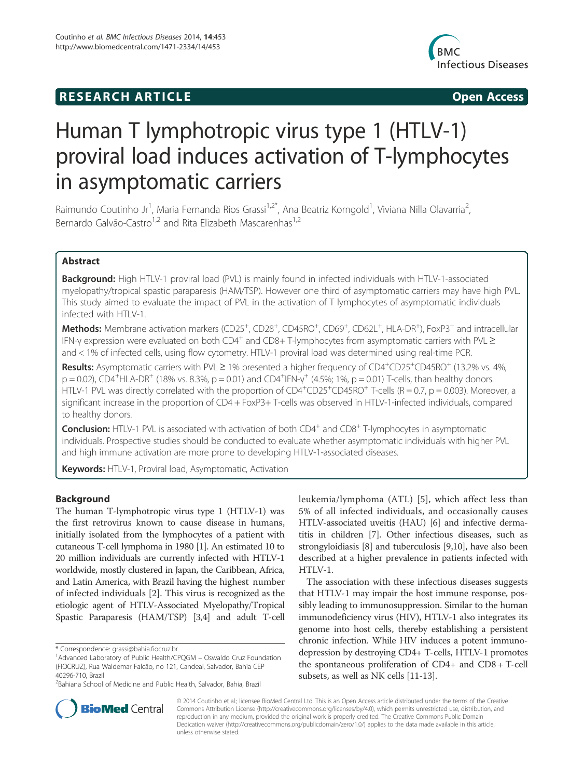# **RESEARCH ARTICLE Example 2014 CONSIDERING CONSIDERING CONSIDERING CONSIDERING CONSIDERING CONSIDERING CONSIDERING CONSIDERING CONSIDERING CONSIDERING CONSIDERING CONSIDERING CONSIDERING CONSIDERING CONSIDERING CONSIDE**



# Human T lymphotropic virus type 1 (HTLV-1) proviral load induces activation of T-lymphocytes in asymptomatic carriers

Raimundo Coutinho Jr<sup>1</sup>, Maria Fernanda Rios Grassi<sup>1,2\*</sup>, Ana Beatriz Korngold<sup>1</sup>, Viviana Nilla Olavarria<sup>2</sup> , Bernardo Galvão-Castro<sup>1,2</sup> and Rita Elizabeth Mascarenhas<sup>1,2</sup>

# Abstract

Background: High HTLV-1 proviral load (PVL) is mainly found in infected individuals with HTLV-1-associated myelopathy/tropical spastic paraparesis (HAM/TSP). However one third of asymptomatic carriers may have high PVL. This study aimed to evaluate the impact of PVL in the activation of T lymphocytes of asymptomatic individuals infected with HTLV-1.

Methods: Membrane activation markers (CD25<sup>+</sup>, CD28<sup>+</sup>, CD45RO<sup>+</sup>, CD69<sup>+</sup>, CD62L<sup>+</sup>, HLA-DR<sup>+</sup>), FoxP3<sup>+</sup> and intracellular IFN-γ expression were evaluated on both CD4+ and CD8+ T-lymphocytes from asymptomatic carriers with PVL ≥ and < 1% of infected cells, using flow cytometry. HTLV-1 proviral load was determined using real-time PCR.

Results: Asymptomatic carriers with PVL ≥ 1% presented a higher frequency of CD4<sup>+</sup>CD25<sup>+</sup>CD45RO<sup>+</sup> (13.2% vs. 4%,  $p = 0.02$ ), CD4<sup>+</sup>HLA-DR<sup>+</sup> (18% vs. 8.3%,  $p = 0.01$ ) and CD4<sup>+</sup>IFN- $\gamma^+$  (4.5%; 1%,  $p = 0.01$ ) T-cells, than healthy donors. HTLV-1 PVL was directly correlated with the proportion of  $CD4^+CD25^+CD45RO^+$  T-cells (R = 0.7, p = 0.003). Moreover, a significant increase in the proportion of CD4 + FoxP3+ T-cells was observed in HTLV-1-infected individuals, compared to healthy donors.

**Conclusion:** HTLV-1 PVL is associated with activation of both CD4<sup>+</sup> and CD8<sup>+</sup> T-lymphocytes in asymptomatic individuals. Prospective studies should be conducted to evaluate whether asymptomatic individuals with higher PVL and high immune activation are more prone to developing HTLV-1-associated diseases.

Keywords: HTLV-1, Proviral load, Asymptomatic, Activation

# Background

The human T-lymphotropic virus type 1 (HTLV-1) was the first retrovirus known to cause disease in humans, initially isolated from the lymphocytes of a patient with cutaneous T-cell lymphoma in 1980 [1]. An estimated 10 to 20 million individuals are currently infected with HTLV-1 worldwide, mostly clustered in Japan, the Caribbean, Africa, and Latin America, with Brazil having the highest number of infected individuals [2]. This virus is recognized as the etiologic agent of HTLV-Associated Myelopathy/Tropical Spastic Paraparesis (HAM/TSP) [3,4] and adult T-cell

leukemia/lymphoma (ATL) [5], which affect less than 5% of all infected individuals, and occasionally causes HTLV-associated uveitis (HAU) [6] and infective dermatitis in children [7]. Other infectious diseases, such as strongyloidiasis [8] and tuberculosis [9,10], have also been described at a higher prevalence in patients infected with HTLV-1.

The association with these infectious diseases suggests that HTLV-1 may impair the host immune response, possibly leading to immunosuppression. Similar to the human immunodeficiency virus (HIV), HTLV-1 also integrates its genome into host cells, thereby establishing a persistent chronic infection. While HIV induces a potent immunodepression by destroying CD4+ T-cells, HTLV-1 promotes the spontaneous proliferation of CD4+ and CD8 + T-cell subsets, as well as NK cells [11-13].



© 2014 Coutinho et al.; licensee BioMed Central Ltd. This is an Open Access article distributed under the terms of the Creative Commons Attribution License (http://creativecommons.org/licenses/by/4.0), which permits unrestricted use, distribution, and reproduction in any medium, provided the original work is properly credited. The Creative Commons Public Domain Dedication waiver (http://creativecommons.org/publicdomain/zero/1.0/) applies to the data made available in this article, unless otherwise stated.

<sup>\*</sup> Correspondence: grassi@bahia.fiocruz.br <sup>1</sup>

<sup>&</sup>lt;sup>1</sup> Advanced Laboratory of Public Health/CPQGM – Oswaldo Cruz Foundation (FIOCRUZ), Rua Waldemar Falcão, no 121, Candeal, Salvador, Bahia CEP 40296-710, Brazil

<sup>2</sup> Bahiana School of Medicine and Public Health, Salvador, Bahia, Brazil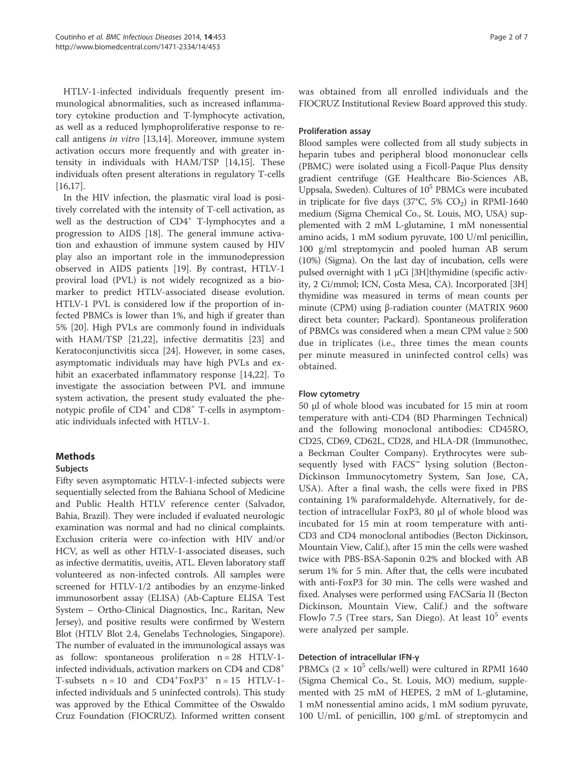HTLV-1-infected individuals frequently present immunological abnormalities, such as increased inflammatory cytokine production and T-lymphocyte activation, as well as a reduced lymphoproliferative response to recall antigens in vitro [13,14]. Moreover, immune system activation occurs more frequently and with greater intensity in individuals with HAM/TSP [14,15]. These individuals often present alterations in regulatory T-cells [16,17].

In the HIV infection, the plasmatic viral load is positively correlated with the intensity of T-cell activation, as well as the destruction of CD4<sup>+</sup> T-lymphocytes and a progression to AIDS [18]. The general immune activation and exhaustion of immune system caused by HIV play also an important role in the immunodepression observed in AIDS patients [19]. By contrast, HTLV-1 proviral load (PVL) is not widely recognized as a biomarker to predict HTLV-associated disease evolution. HTLV-1 PVL is considered low if the proportion of infected PBMCs is lower than 1%, and high if greater than 5% [20]. High PVLs are commonly found in individuals with HAM/TSP [21,22], infective dermatitis [23] and Keratoconjunctivitis sicca [24]. However, in some cases, asymptomatic individuals may have high PVLs and exhibit an exacerbated inflammatory response [14,22]. To investigate the association between PVL and immune system activation, the present study evaluated the phenotypic profile of CD4<sup>+</sup> and CD8<sup>+</sup> T-cells in asymptomatic individuals infected with HTLV-1.

# Methods

#### Subjects

Fifty seven asymptomatic HTLV-1-infected subjects were sequentially selected from the Bahiana School of Medicine and Public Health HTLV reference center (Salvador, Bahia, Brazil). They were included if evaluated neurologic examination was normal and had no clinical complaints. Exclusion criteria were co-infection with HIV and/or HCV, as well as other HTLV-1-associated diseases, such as infective dermatitis, uveitis, ATL. Eleven laboratory staff volunteered as non-infected controls. All samples were screened for HTLV-1/2 antibodies by an enzyme-linked immunosorbent assay (ELISA) (Ab-Capture ELISA Test System – Ortho-Clinical Diagnostics, Inc., Raritan, New Jersey), and positive results were confirmed by Western Blot (HTLV Blot 2.4, Genelabs Technologies, Singapore). The number of evaluated in the immunological assays was as follow: spontaneous proliferation n = 28 HTLV-1 infected individuals, activation markers on CD4 and CD8+ T-subsets  $n = 10$  and  $CD4+FoxP3+ n = 15 HTLV-1$ infected individuals and 5 uninfected controls). This study was approved by the Ethical Committee of the Oswaldo Cruz Foundation (FIOCRUZ). Informed written consent was obtained from all enrolled individuals and the FIOCRUZ Institutional Review Board approved this study.

#### Proliferation assay

Blood samples were collected from all study subjects in heparin tubes and peripheral blood mononuclear cells (PBMC) were isolated using a Ficoll-Paque Plus density gradient centrifuge (GE Healthcare Bio-Sciences AB, Uppsala, Sweden). Cultures of  $10^5$  PBMCs were incubated in triplicate for five days (37°C, 5%  $CO<sub>2</sub>$ ) in RPMI-1640 medium (Sigma Chemical Co., St. Louis, MO, USA) supplemented with 2 mM L-glutamine, 1 mM nonessential amino acids, 1 mM sodium pyruvate, 100 U/ml penicillin, 100 g/ml streptomycin and pooled human AB serum (10%) (Sigma). On the last day of incubation, cells were pulsed overnight with 1 μCi [3H]thymidine (specific activity, 2 Ci/mmol; ICN, Costa Mesa, CA). Incorporated [3H] thymidine was measured in terms of mean counts per minute (CPM) using β-radiation counter (MATRIX 9600 direct beta counter; Packard). Spontaneous proliferation of PBMCs was considered when a mean CPM value  $\geq 500$ due in triplicates (i.e., three times the mean counts per minute measured in uninfected control cells) was obtained.

# Flow cytometry

50 μl of whole blood was incubated for 15 min at room temperature with anti-CD4 (BD Pharmingen Technical) and the following monoclonal antibodies: CD45RO, CD25, CD69, CD62L, CD28, and HLA-DR (Immunothec, a Beckman Coulter Company). Erythrocytes were subsequently lysed with FACS™ lysing solution (Becton-Dickinson Immunocytometry System, San Jose, CA, USA). After a final wash, the cells were fixed in PBS containing 1% paraformaldehyde. Alternatively, for detection of intracellular FoxP3, 80 μl of whole blood was incubated for 15 min at room temperature with anti-CD3 and CD4 monoclonal antibodies (Becton Dickinson, Mountain View, Calif.), after 15 min the cells were washed twice with PBS-BSA-Saponin 0.2% and blocked with AB serum 1% for 5 min. After that, the cells were incubated with anti-FoxP3 for 30 min. The cells were washed and fixed. Analyses were performed using FACSaria II (Becton Dickinson, Mountain View, Calif.) and the software FlowJo 7.5 (Tree stars, San Diego). At least  $10^5$  events were analyzed per sample.

# Detection of intracellular IFN-γ

PBMCs ( $2 \times 10^5$  cells/well) were cultured in RPMI 1640 (Sigma Chemical Co., St. Louis, MO) medium, supplemented with 25 mM of HEPES, 2 mM of L-glutamine, 1 mM nonessential amino acids, 1 mM sodium pyruvate, 100 U/mL of penicillin, 100 g/mL of streptomycin and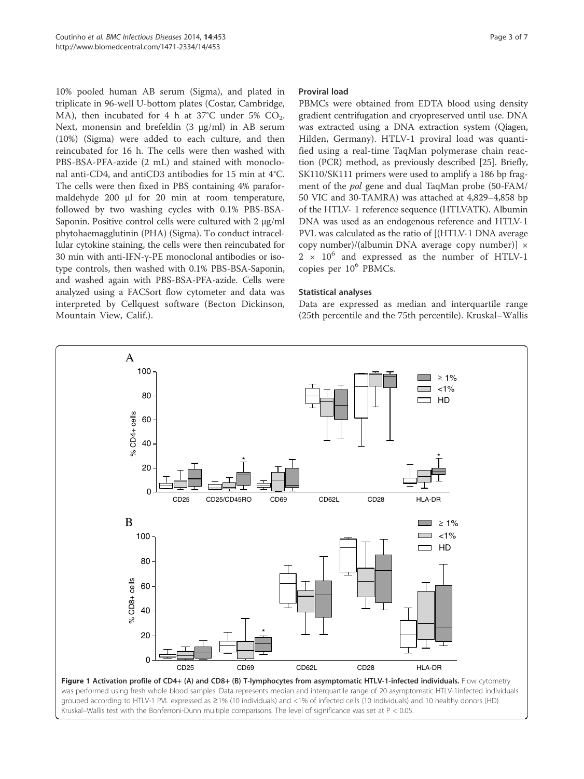10% pooled human AB serum (Sigma), and plated in triplicate in 96-well U-bottom plates (Costar, Cambridge, MA), then incubated for 4 h at  $37^{\circ}$ C under 5% CO<sub>2</sub>. Next, monensin and brefeldin (3 μg/ml) in AB serum (10%) (Sigma) were added to each culture, and then reincubated for 16 h. The cells were then washed with PBS-BSA-PFA-azide (2 mL) and stained with monoclonal anti-CD4, and antiCD3 antibodies for 15 min at 4°C. The cells were then fixed in PBS containing 4% paraformaldehyde 200 μl for 20 min at room temperature, followed by two washing cycles with 0.1% PBS-BSA-Saponin. Positive control cells were cultured with 2 μg/ml phytohaemagglutinin (PHA) (Sigma). To conduct intracellular cytokine staining, the cells were then reincubated for 30 min with anti-IFN-γ-PE monoclonal antibodies or isotype controls, then washed with 0.1% PBS-BSA-Saponin, and washed again with PBS-BSA-PFA-azide. Cells were analyzed using a FACSort flow cytometer and data was interpreted by Cellquest software (Becton Dickinson, Mountain View, Calif.).

#### Proviral load

PBMCs were obtained from EDTA blood using density gradient centrifugation and cryopreserved until use. DNA was extracted using a DNA extraction system (Qiagen, Hilden, Germany). HTLV-1 proviral load was quantified using a real-time TaqMan polymerase chain reaction (PCR) method, as previously described [25]. Briefly, SK110/SK111 primers were used to amplify a 186 bp fragment of the pol gene and dual TaqMan probe (50-FAM/ 50 VIC and 30-TAMRA) was attached at 4,829–4,858 bp of the HTLV- 1 reference sequence (HTLVATK). Albumin DNA was used as an endogenous reference and HTLV-1 PVL was calculated as the ratio of [(HTLV-1 DNA average copy number)/(albumin DNA average copy number)] ×  $2 \times 10^6$  and expressed as the number of HTLV-1 copies per 10<sup>6</sup> PBMCs.

#### Statistical analyses

Data are expressed as median and interquartile range (25th percentile and the 75th percentile). Kruskal–Wallis

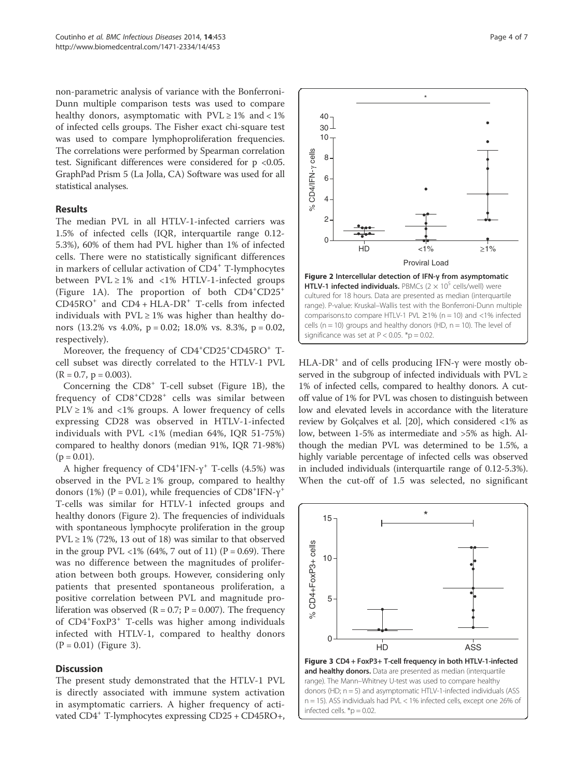non-parametric analysis of variance with the Bonferroni-Dunn multiple comparison tests was used to compare healthy donors, asymptomatic with  $PVL \ge 1\%$  and < 1% of infected cells groups. The Fisher exact chi-square test was used to compare lymphoproliferation frequencies. The correlations were performed by Spearman correlation test. Significant differences were considered for p <0.05. GraphPad Prism 5 (La Jolla, CA) Software was used for all statistical analyses.

## Results

The median PVL in all HTLV-1-infected carriers was 1.5% of infected cells (IQR, interquartile range 0.12- 5.3%), 60% of them had PVL higher than 1% of infected cells. There were no statistically significant differences in markers of cellular activation of CD4<sup>+</sup> T-lymphocytes between  $PVL \ge 1\%$  and <1% HTLV-1-infected groups (Figure 1A). The proportion of both CD4<sup>+</sup> CD25<sup>+</sup>  $CD45RO<sup>+</sup>$  and  $CD4 + HLA-DR<sup>+</sup>$  T-cells from infected individuals with  $PVL \ge 1\%$  was higher than healthy donors (13.2% vs 4.0%, p = 0.02; 18.0% vs. 8.3%, p = 0.02, respectively).

Moreover, the frequency of CD4<sup>+</sup>CD25<sup>+</sup>CD45RO<sup>+</sup> Tcell subset was directly correlated to the HTLV-1 PVL  $(R = 0.7, p = 0.003).$ 

Concerning the  $CD8<sup>+</sup>$  T-cell subset (Figure 1B), the frequency of CD8<sup>+</sup>CD28<sup>+</sup> cells was similar between  $PLV \geq 1\%$  and <1% groups. A lower frequency of cells expressing CD28 was observed in HTLV-1-infected individuals with PVL <1% (median 64%, IQR 51-75%) compared to healthy donors (median 91%, IQR 71-98%)  $(p = 0.01)$ .

A higher frequency of  $CD4+IFN-\gamma^+$  T-cells (4.5%) was observed in the  $PVL \ge 1\%$  group, compared to healthy donors (1%) (P = 0.01), while frequencies of  $CD8$ <sup>+</sup>IFN- $\gamma$ <sup>+</sup> T-cells was similar for HTLV-1 infected groups and healthy donors (Figure 2). The frequencies of individuals with spontaneous lymphocyte proliferation in the group  $PVL \ge 1\%$  (72%, 13 out of 18) was similar to that observed in the group PVL <1% (64%, 7 out of 11) (P = 0.69). There was no difference between the magnitudes of proliferation between both groups. However, considering only patients that presented spontaneous proliferation, a positive correlation between PVL and magnitude proliferation was observed ( $R = 0.7$ ;  $P = 0.007$ ). The frequency of CD4<sup>+</sup> FoxP3<sup>+</sup> T-cells was higher among individuals infected with HTLV-1, compared to healthy donors  $(P = 0.01)$  (Figure 3).

#### **Discussion**

The present study demonstrated that the HTLV-1 PVL is directly associated with immune system activation in asymptomatic carriers. A higher frequency of activated CD4+ T-lymphocytes expressing CD25 + CD45RO+,



HLA-DR<sup>+</sup> and of cells producing IFN- $\gamma$  were mostly observed in the subgroup of infected individuals with PVL ≥ 1% of infected cells, compared to healthy donors. A cutoff value of 1% for PVL was chosen to distinguish between low and elevated levels in accordance with the literature review by Golçalves et al. [20], which considered <1% as low, between 1-5% as intermediate and >5% as high. Although the median PVL was determined to be 1.5%, a highly variable percentage of infected cells was observed in included individuals (interquartile range of 0.12-5.3%). When the cut-off of 1.5 was selected, no significant



donors (HD; n = 5) and asymptomatic HTLV-1-infected individuals (ASS n = 15). ASS individuals had PVL < 1% infected cells, except one 26% of infected cells.  $*$ p = 0.02.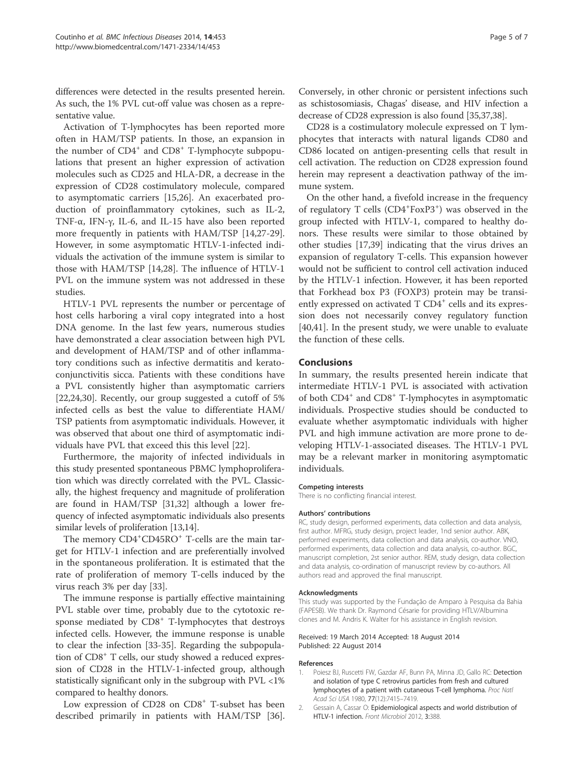differences were detected in the results presented herein. As such, the 1% PVL cut-off value was chosen as a representative value.

Activation of T-lymphocytes has been reported more often in HAM/TSP patients. In those, an expansion in the number of CD4<sup>+</sup> and CD8<sup>+</sup> T-lymphocyte subpopulations that present an higher expression of activation molecules such as CD25 and HLA-DR, a decrease in the expression of CD28 costimulatory molecule, compared to asymptomatic carriers [15,26]. An exacerbated production of proinflammatory cytokines, such as IL-2, TNF-α, IFN-γ, IL-6, and IL-15 have also been reported more frequently in patients with HAM/TSP [14,27-29]. However, in some asymptomatic HTLV-1-infected individuals the activation of the immune system is similar to those with HAM/TSP [14,28]. The influence of HTLV-1 PVL on the immune system was not addressed in these studies.

HTLV-1 PVL represents the number or percentage of host cells harboring a viral copy integrated into a host DNA genome. In the last few years, numerous studies have demonstrated a clear association between high PVL and development of HAM/TSP and of other inflammatory conditions such as infective dermatitis and keratoconjunctivitis sicca. Patients with these conditions have a PVL consistently higher than asymptomatic carriers [22,24,30]. Recently, our group suggested a cutoff of 5% infected cells as best the value to differentiate HAM/ TSP patients from asymptomatic individuals. However, it was observed that about one third of asymptomatic individuals have PVL that exceed this this level [22].

Furthermore, the majority of infected individuals in this study presented spontaneous PBMC lymphoproliferation which was directly correlated with the PVL. Classically, the highest frequency and magnitude of proliferation are found in HAM/TSP [31,32] although a lower frequency of infected asymptomatic individuals also presents similar levels of proliferation [13,14].

The memory CD4<sup>+</sup>CD45RO<sup>+</sup> T-cells are the main target for HTLV-1 infection and are preferentially involved in the spontaneous proliferation. It is estimated that the rate of proliferation of memory T-cells induced by the virus reach 3% per day [33].

The immune response is partially effective maintaining PVL stable over time, probably due to the cytotoxic response mediated by CD8<sup>+</sup> T-lymphocytes that destroys infected cells. However, the immune response is unable to clear the infection [33-35]. Regarding the subpopulation of CD8<sup>+</sup> T cells, our study showed a reduced expression of CD28 in the HTLV-1-infected group, although statistically significant only in the subgroup with PVL <1% compared to healthy donors.

Low expression of CD28 on CD8<sup>+</sup> T-subset has been described primarily in patients with HAM/TSP [36].

Conversely, in other chronic or persistent infections such as schistosomiasis, Chagas' disease, and HIV infection a decrease of CD28 expression is also found [35,37,38].

CD28 is a costimulatory molecule expressed on T lymphocytes that interacts with natural ligands CD80 and CD86 located on antigen-presenting cells that result in cell activation. The reduction on CD28 expression found herein may represent a deactivation pathway of the immune system.

On the other hand, a fivefold increase in the frequency of regulatory T cells (CD4<sup>+</sup>FoxP3<sup>+</sup>) was observed in the group infected with HTLV-1, compared to healthy donors. These results were similar to those obtained by other studies [17,39] indicating that the virus drives an expansion of regulatory T-cells. This expansion however would not be sufficient to control cell activation induced by the HTLV-1 infection. However, it has been reported that Forkhead box P3 (FOXP3) protein may be transiently expressed on activated T CD4<sup>+</sup> cells and its expression does not necessarily convey regulatory function [40,41]. In the present study, we were unable to evaluate the function of these cells.

## Conclusions

In summary, the results presented herein indicate that intermediate HTLV-1 PVL is associated with activation of both CD4<sup>+</sup> and CD8<sup>+</sup> T-lymphocytes in asymptomatic individuals. Prospective studies should be conducted to evaluate whether asymptomatic individuals with higher PVL and high immune activation are more prone to developing HTLV-1-associated diseases. The HTLV-1 PVL may be a relevant marker in monitoring asymptomatic individuals.

#### Competing interests

There is no conflicting financial interest.

#### Authors' contributions

RC, study design, performed experiments, data collection and data analysis, first author. MFRG, study design, project leader, 1nd senior author. ABK, performed experiments, data collection and data analysis, co-author. VNO, performed experiments, data collection and data analysis, co-author. BGC, manuscript completion, 2st senior author. REM, study design, data collection and data analysis, co-ordination of manuscript review by co-authors. All authors read and approved the final manuscript.

#### Acknowledgments

This study was supported by the Fundação de Amparo à Pesquisa da Bahia (FAPESB). We thank Dr. Raymond Césarie for providing HTLV/Albumina clones and M. Andris K. Walter for his assistance in English revision.

#### Received: 19 March 2014 Accepted: 18 August 2014 Published: 22 August 2014

#### **References**

- 1. Poiesz BJ, Ruscetti FW, Gazdar AF, Bunn PA, Minna JD, Gallo RC: Detection and isolation of type C retrovirus particles from fresh and cultured lymphocytes of a patient with cutaneous T-cell lymphoma. Proc Natl Acad Sci USA 1980, 77(12):7415–7419.
- 2. Gessain A, Cassar O: Epidemiological aspects and world distribution of HTLV-1 infection. Front Microbiol 2012, 3:388.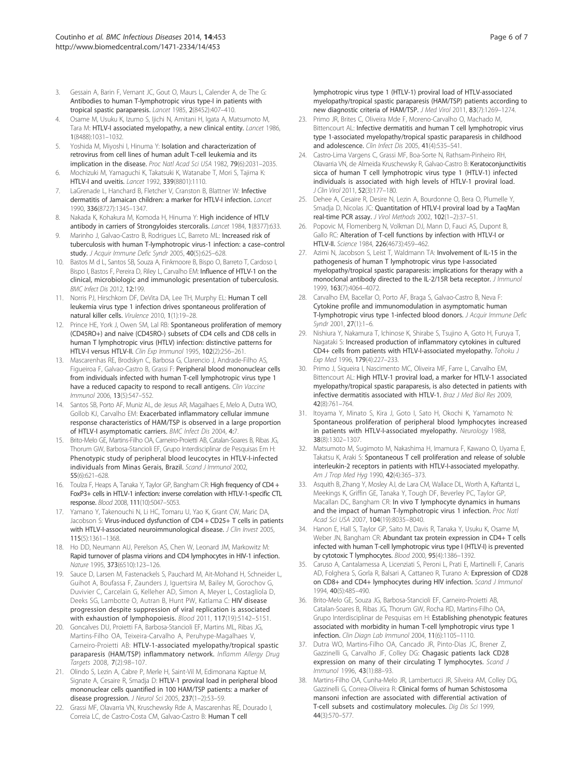- 3. Gessain A, Barin F, Vernant JC, Gout O, Maurs L, Calender A, de The G: Antibodies to human T-lymphotropic virus type-I in patients with tropical spastic paraparesis. Lancet 1985, 2(8452):407–410.
- 4. Osame M, Usuku K, Izumo S, Ijichi N, Amitani H, Igata A, Matsumoto M, Tara M: HTLV-I associated myelopathy, a new clinical entity. Lancet 1986, 1(8488):1031–1032.
- 5. Yoshida M, Miyoshi I, Hinuma Y: Isolation and characterization of retrovirus from cell lines of human adult T-cell leukemia and its implication in the disease. Proc Natl Acad Sci USA 1982, 79(6):2031–2035.
- 6. Mochizuki M, Yamaguchi K, Takatsuki K, Watanabe T, Mori S, Tajima K: HTLV-I and uveitis. Lancet 1992, 339(8801):1110.
- 7. LaGrenade L, Hanchard B, Fletcher V, Cranston B, Blattner W: Infective dermatitis of Jamaican children: a marker for HTLV-I infection. Lancet 1990, 336(8727):1345–1347.
- 8. Nakada K, Kohakura M, Komoda H, Hinuma Y: High incidence of HTLV antibody in carriers of Strongyloides stercoralis. Lancet 1984, 1(8377):633.
- 9. Marinho J, Galvao-Castro B, Rodrigues LC, Barreto ML: Increased risk of tuberculosis with human T-lymphotropic virus-1 infection: a case–control study. J Acquir Immune Defic Syndr 2005, 40(5):625-628.
- 10. Bastos M d L, Santos SB, Souza A, Finkmoore B, Bispo O, Barreto T, Cardoso I, Bispo I, Bastos F, Pereira D, Riley L, Carvalho EM: Influence of HTLV-1 on the clinical, microbiologic and immunologic presentation of tuberculosis. BMC Infect Dis 2012, 12:199.
- 11. Norris PJ, Hirschkorn DF, DeVita DA, Lee TH, Murphy EL: Human T cell leukemia virus type 1 infection drives spontaneous proliferation of natural killer cells. Virulence 2010, 1(1):19–28.
- 12. Prince HE, York J, Owen SM, Lal RB: Spontaneous proliferation of memory (CD45RO+) and naive (CD45RO-) subsets of CD4 cells and CD8 cells in human T lymphotropic virus (HTLV) infection: distinctive patterns for HTLV-I versus HTLV-II. Clin Exp Immunol 1995, 102(2):256–261.
- 13. Mascarenhas RE, Brodskyn C, Barbosa G, Clarencio J, Andrade-Filho AS, Figueiroa F, Galvao-Castro B, Grassi F: Peripheral blood mononuclear cells from individuals infected with human T-cell lymphotropic virus type 1 have a reduced capacity to respond to recall antigens. Clin Vaccine Immunol 2006, 13(5):547–552.
- 14. Santos SB, Porto AF, Muniz AL, de Jesus AR, Magalhaes E, Melo A, Dutra WO, Gollob KJ, Carvalho EM: Exacerbated inflammatory cellular immune response characteristics of HAM/TSP is observed in a large proportion of HTLV-I asymptomatic carriers. BMC Infect Dis 2004, 4:7.
- 15. Brito-Melo GE, Martins-Filho OA, Carneiro-Proietti AB, Catalan-Soares B, Ribas JG, Thorum GW, Barbosa-Stancioli EF, Grupo Interdisciplinar de Pesquisas Em H: Phenotypic study of peripheral blood leucocytes in HTLV-I-infected individuals from Minas Gerais, Brazil. Scand J Immunol 2002, 55(6):621–628.
- 16. Toulza F, Heaps A, Tanaka Y, Taylor GP, Bangham CR: High frequency of CD4 + FoxP3+ cells in HTLV-1 infection: inverse correlation with HTLV-1-specific CTL response. Blood 2008, 111(10):5047–5053.
- 17. Yamano Y, Takenouchi N, Li HC, Tomaru U, Yao K, Grant CW, Maric DA, Jacobson S: Virus-induced dysfunction of CD4 + CD25+ T cells in patients with HTLV-I-associated neuroimmunological disease. J Clin Invest 2005, 115(5):1361–1368.
- 18. Ho DD, Neumann AU, Perelson AS, Chen W, Leonard JM, Markowitz M: Rapid turnover of plasma virions and CD4 lymphocytes in HIV-1 infection. Nature 1995, 373(6510):123–126.
- 19. Sauce D, Larsen M, Fastenackels S, Pauchard M, Ait-Mohand H, Schneider L, Guihot A, Boufassa F, Zaunders J, Iguertsira M, Bailey M, Gorochov G, Duvivier C, Carcelain G, Kelleher AD, Simon A, Meyer L, Costagliola D, Deeks SG, Lambotte O, Autran B, Hunt PW, Katlama C: HIV disease progression despite suppression of viral replication is associated with exhaustion of lymphopoiesis. Blood 2011, 117(19):5142–5151.
- 20. Goncalves DU, Proietti FA, Barbosa-Stancioli EF, Martins ML, Ribas JG, Martins-Filho OA, Teixeira-Carvalho A, Peruhype-Magalhaes V, Carneiro-Proietti AB: HTLV-1-associated myelopathy/tropical spastic paraparesis (HAM/TSP) inflammatory network. Inflamm Allergy Drug Targets 2008, 7(2):98–107.
- 21. Olindo S, Lezin A, Cabre P, Merle H, Saint-Vil M, Edimonana Kaptue M, Signate A, Cesaire R, Smadja D: HTLV-1 proviral load in peripheral blood mononuclear cells quantified in 100 HAM/TSP patients: a marker of disease progression. J Neurol Sci 2005, 237(1-2):53-59.
- 22. Grassi MF, Olavarria VN, Kruschewsky Rde A, Mascarenhas RE, Dourado I, Correia LC, de Castro-Costa CM, Galvao-Castro B: Human T cell

lymphotropic virus type 1 (HTLV-1) proviral load of HTLV-associated myelopathy/tropical spastic paraparesis (HAM/TSP) patients according to new diagnostic criteria of HAM/TSP. J Med Virol 2011, 83(7):1269–1274.

- Primo JR, Brites C, Oliveira Mde F, Moreno-Carvalho O, Machado M, Bittencourt AL: Infective dermatitis and human T cell lymphotropic virus type 1-associated myelopathy/tropical spastic paraparesis in childhood and adolescence. Clin Infect Dis 2005, 41(4):535–541.
- 24. Castro-Lima Vargens C, Grassi MF, Boa-Sorte N, Rathsam-Pinheiro RH, Olavarria VN, de Almeida Kruschewsky R, Galvao-Castro B: Keratoconjunctivitis sicca of human T cell lymphotropic virus type 1 (HTLV-1) infected individuals is associated with high levels of HTLV-1 proviral load. J Clin Virol 2011, 52(3):177–180.
- 25. Dehee A, Cesaire R, Desire N, Lezin A, Bourdonne O, Bera O, Plumelle Y, Smadja D, Nicolas JC: Quantitation of HTLV-I proviral load by a TaqMan real-time PCR assay. J Virol Methods 2002, 102(1–2):37–51.
- 26. Popovic M, Flomenberg N, Volkman DJ, Mann D, Fauci AS, Dupont B, Gallo RC: Alteration of T-cell functions by infection with HTLV-I or HTLV-II. Science 1984, 226(4673):459–462.
- 27. Azimi N, Jacobson S, Leist T, Waldmann TA: Involvement of IL-15 in the pathogenesis of human T lymphotropic virus type I-associated myelopathy/tropical spastic paraparesis: implications for therapy with a monoclonal antibody directed to the IL-2/15R beta receptor. J Immunol 1999, 163(7):4064–4072.
- 28. Carvalho EM, Bacellar O, Porto AF, Braga S, Galvao-Castro B, Neva F: Cytokine profile and immunomodulation in asymptomatic human T-lymphotropic virus type 1-infected blood donors. J Acquir Immune Defic Syndr 2001, 27(1):1–6.
- 29. Nishiura Y, Nakamura T, Ichinose K, Shirabe S, Tsujino A, Goto H, Furuya T, Nagataki S: Increased production of inflammatory cytokines in cultured CD4+ cells from patients with HTLV-I-associated myelopathy. Tohoku J Exp Med 1996, 179(4):227–233.
- 30. Primo J, Siqueira I, Nascimento MC, Oliveira MF, Farre L, Carvalho EM, Bittencourt AL: High HTLV-1 proviral load, a marker for HTLV-1 associated myelopathy/tropical spastic paraparesis, is also detected in patients with infective dermatitis associated with HTLV-1. Braz J Med Biol Res 2009, 42(8):761–764.
- 31. Itoyama Y, Minato S, Kira J, Goto I, Sato H, Okochi K, Yamamoto N: Spontaneous proliferation of peripheral blood lymphocytes increased in patients with HTLV-I-associated myelopathy. Neurology 1988, 38(8):1302–1307.
- 32. Matsumoto M, Sugimoto M, Nakashima H, Imamura F, Kawano O, Uyama E, Takatsu K, Araki S: Spontaneous T cell proliferation and release of soluble interleukin-2 receptors in patients with HTLV-I-associated myelopathy. Am J Trop Med Hyg 1990, 42(4):365–373.
- 33. Asquith B, Zhang Y, Mosley AJ, de Lara CM, Wallace DL, Worth A, Kaftantzi L, Meekings K, Griffin GE, Tanaka Y, Tough DF, Beverley PC, Taylor GP, Macallan DC, Bangham CR: In vivo T lymphocyte dynamics in humans and the impact of human T-lymphotropic virus 1 infection. Proc Natl Acad Sci USA 2007, 104(19):8035–8040.
- 34. Hanon E, Hall S, Taylor GP, Saito M, Davis R, Tanaka Y, Usuku K, Osame M, Weber JN, Bangham CR: Abundant tax protein expression in CD4+ T cells infected with human T-cell lymphotropic virus type I (HTLV-I) is prevented by cytotoxic T lymphocytes. Blood 2000, 95(4):1386–1392.
- 35. Caruso A, Cantalamessa A, Licenziati S, Peroni L, Prati E, Martinelli F, Canaris AD, Folghera S, Gorla R, Balsari A, Cattaneo R, Turano A: Expression of CD28 on CD8+ and CD4+ lymphocytes during HIV infection. Scand J Immunol 1994, 40(5):485–490.
- 36. Brito-Melo GE, Souza JG, Barbosa-Stancioli EF, Carneiro-Proietti AB, Catalan-Soares B, Ribas JG, Thorum GW, Rocha RD, Martins-Filho OA, Grupo Interdisciplinar de Pesquisas em H: Establishing phenotypic features associated with morbidity in human T-cell lymphotropic virus type 1 infection. Clin Diagn Lab Immunol 2004, 11(6):1105–1110.
- 37. Dutra WO, Martins-Filho OA, Cancado JR, Pinto-Dias JC, Brener Z, Gazzinelli G, Carvalho JF, Colley DG: Chagasic patients lack CD28 expression on many of their circulating T lymphocytes. Scand J Immunol 1996, 43(1):88–93.
- 38. Martins-Filho OA, Cunha-Melo JR, Lambertucci JR, Silveira AM, Colley DG, Gazzinelli G, Correa-Oliveira R: Clinical forms of human Schistosoma mansoni infection are associated with differential activation of T-cell subsets and costimulatory molecules. Dig Dis Sci 1999, 44(3):570–577.